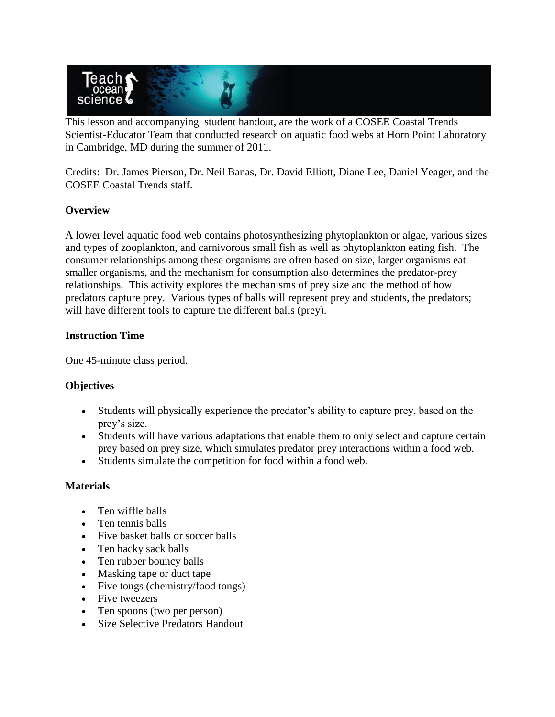

This lesson and accompanying student handout, are the work of a COSEE Coastal Trends Scientist-Educator Team that conducted research on aquatic food webs at Horn Point Laboratory in Cambridge, MD during the summer of 2011.

Credits: Dr. James Pierson, Dr. Neil Banas, Dr. David Elliott, Diane Lee, Daniel Yeager, and the COSEE Coastal Trends staff.

# **Overview**

A lower level aquatic food web contains photosynthesizing phytoplankton or algae, various sizes and types of zooplankton, and carnivorous small fish as well as phytoplankton eating fish. The consumer relationships among these organisms are often based on size, larger organisms eat smaller organisms, and the mechanism for consumption also determines the predator-prey relationships. This activity explores the mechanisms of prey size and the method of how predators capture prey. Various types of balls will represent prey and students, the predators; will have different tools to capture the different balls (prey).

# **Instruction Time**

One 45-minute class period.

# **Objectives**

- Students will physically experience the predator's ability to capture prey, based on the prey's size.
- Students will have various adaptations that enable them to only select and capture certain prey based on prey size, which simulates predator prey interactions within a food web.
- Students simulate the competition for food within a food web.

# **Materials**

- Ten wiffle balls
- Ten tennis balls
- Five basket balls or soccer balls
- Ten hacky sack balls
- Ten rubber bouncy balls
- Masking tape or duct tape
- Five tongs (chemistry/food tongs)
- Five tweezers
- Ten spoons (two per person)
- Size Selective Predators Handout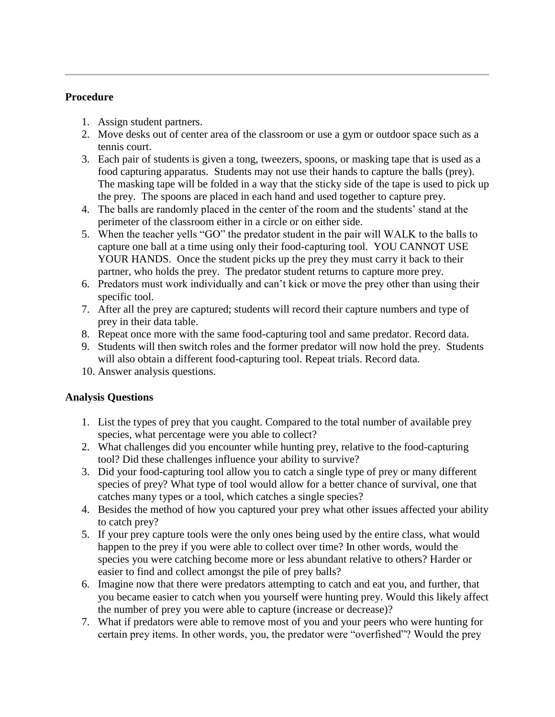### **Procedure**

- 1. Assign student partners.
- 2. Move desks out of center area of the classroom or use a gym or outdoor space such as a tennis court.
- 3. Each pair of students is given a tong, tweezers, spoons, or masking tape that is used as a food capturing apparatus. Students may not use their hands to capture the balls (prey). The masking tape will be folded in a way that the sticky side of the tape is used to pick up the prey. The spoons are placed in each hand and used together to capture prey.
- 4. The balls are randomly placed in the center of the room and the students' stand at the perimeter of the classroom either in a circle or on either side.
- 5. When the teacher yells "GO" the predator student in the pair will WALK to the balls to capture one ball at a time using only their food-capturing tool. YOU CANNOT USE YOUR HANDS. Once the student picks up the prey they must carry it back to their partner, who holds the prey. The predator student returns to capture more prey.
- 6. Predators must work individually and can't kick or move the prey other than using their specific tool.
- 7. After all the prey are captured; students will record their capture numbers and type of prey in their data table.
- 8. Repeat once more with the same food-capturing tool and same predator. Record data.
- 9. Students will then switch roles and the former predator will now hold the prey. Students will also obtain a different food-capturing tool. Repeat trials. Record data.
- 10. Answer analysis questions.

# **Analysis Questions**

- 1. List the types of prey that you caught. Compared to the total number of available prey species, what percentage were you able to collect?
- 2. What challenges did you encounter while hunting prey, relative to the food-capturing tool? Did these challenges influence your ability to survive?
- 3. Did your food-capturing tool allow you to catch a single type of prey or many different species of prey? What type of tool would allow for a better chance of survival, one that catches many types or a tool, which catches a single species?
- 4. Besides the method of how you captured your prey what other issues affected your ability to catch prey?
- 5. If your prey capture tools were the only ones being used by the entire class, what would happen to the prey if you were able to collect over time? In other words, would the species you were catching become more or less abundant relative to others? Harder or easier to find and collect amongst the pile of prey balls?
- 6. Imagine now that there were predators attempting to catch and eat you, and further, that you became easier to catch when you yourself were hunting prey. Would this likely affect the number of prey you were able to capture (increase or decrease)?
- 7. What if predators were able to remove most of you and your peers who were hunting for certain prey items. In other words, you, the predator were "overfished"? Would the prey